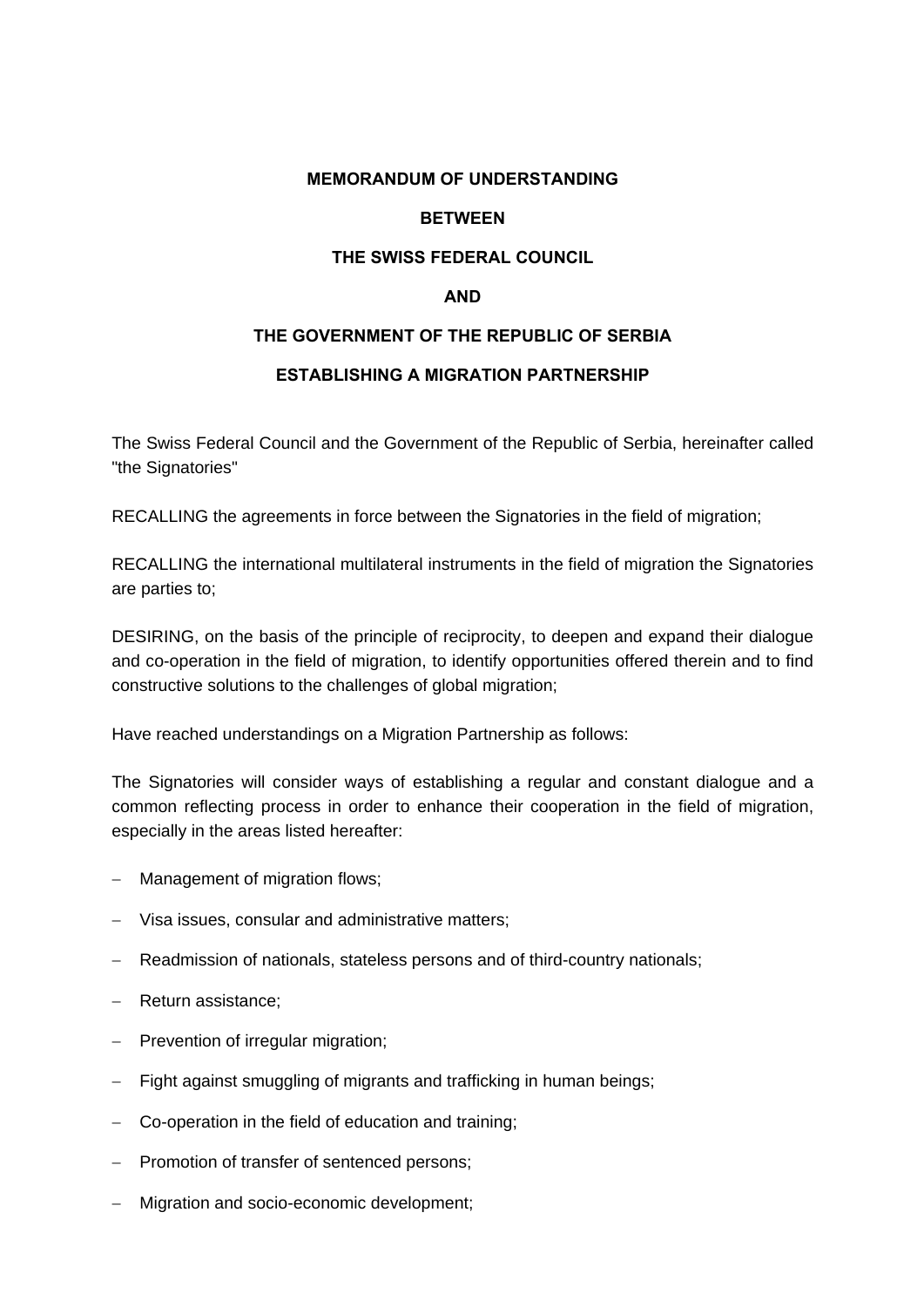#### **MEMORANDUM OF UNDERSTANDING**

## **BETWEEN**

#### **THE SWISS FEDERAL COUNCIL**

#### **AND**

### **THE GOVERNMENT OF THE REPUBLIC OF SERBIA**

## **ESTABLISHING A MIGRATION PARTNERSHIP**

The Swiss Federal Council and the Government of the Republic of Serbia, hereinafter called "the Signatories"

RECALLING the agreements in force between the Signatories in the field of migration;

RECALLING the international multilateral instruments in the field of migration the Signatories are parties to;

DESIRING, on the basis of the principle of reciprocity, to deepen and expand their dialogue and co-operation in the field of migration, to identify opportunities offered therein and to find constructive solutions to the challenges of global migration;

Have reached understandings on a Migration Partnership as follows:

The Signatories will consider ways of establishing a regular and constant dialogue and a common reflecting process in order to enhance their cooperation in the field of migration, especially in the areas listed hereafter:

- Management of migration flows;
- Visa issues, consular and administrative matters;
- Readmission of nationals, stateless persons and of third-country nationals;
- Return assistance;
- $-$  Prevention of irregular migration;
- Fight against smuggling of migrants and trafficking in human beings;
- Co-operation in the field of education and training;
- Promotion of transfer of sentenced persons;
- Migration and socio-economic development;